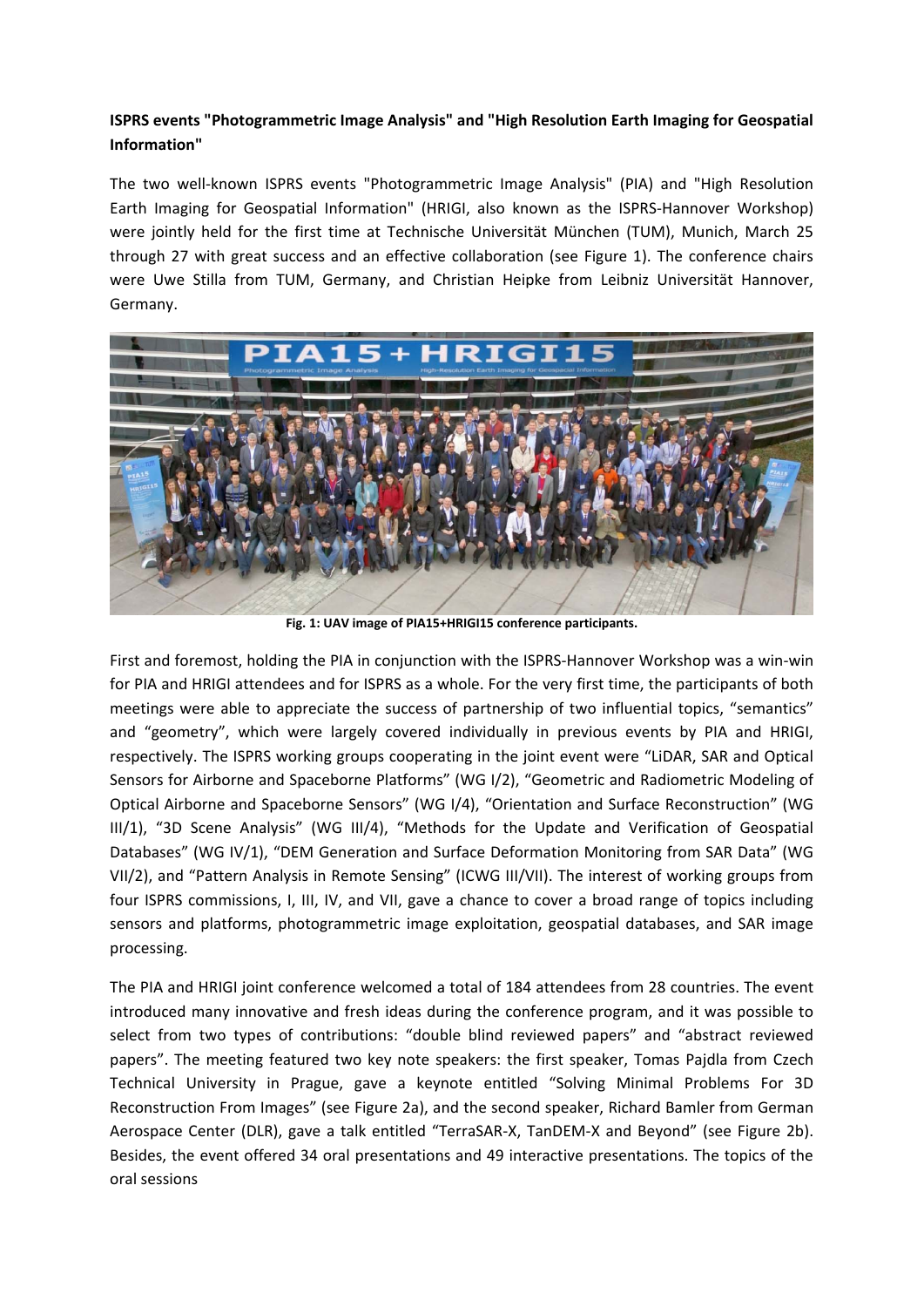## **ISPRS events "Photogrammetric Image Analysis" and "High Resolution Earth Imaging for Geospatial Information"**

The two well-known ISPRS events "Photogrammetric Image Analysis" (PIA) and "High Resolution Earth Imaging for Geospatial Information" (HRIGI, also known as the ISPRS-Hannover Workshop) were jointly held for the first time at Technische Universität München (TUM), Munich, March 25 through 27 with great success and an effective collaboration (see Figure 1). The conference chairs were Uwe Stilla from TUM, Germany, and Christian Heipke from Leibniz Universität Hannover, Germany.



**Fig. 1: UAV image of PIA15+HRIGI15 conference participants.**

First and foremost, holding the PIA in conjunction with the ISPRS-Hannover Workshop was a win-win for PIA and HRIGI attendees and for ISPRS as a whole. For the very first time, the participants of both meetings were able to appreciate the success of partnership of two influential topics, "semantics" and "geometry", which were largely covered individually in previous events by PIA and HRIGI, respectively. The ISPRS working groups cooperating in the joint event were "LiDAR, SAR and Optical Sensors for Airborne and Spaceborne Platforms" (WG I/2), "Geometric and Radiometric Modeling of Optical Airborne and Spaceborne Sensors" (WG I/4), "Orientation and Surface Reconstruction" (WG III/1), "3D Scene Analysis" (WG III/4), "Methods for the Update and Verification of Geospatial Databases" (WG IV/1), "DEM Generation and Surface Deformation Monitoring from SAR Data" (WG VII/2), and "Pattern Analysis in Remote Sensing" (ICWG III/VII). The interest of working groups from four ISPRS commissions, I, III, IV, and VII, gave a chance to cover a broad range of topics including sensors and platforms, photogrammetric image exploitation, geospatial databases, and SAR image processing.

The PIA and HRIGI joint conference welcomed a total of 184 attendees from 28 countries. The event introduced many innovative and fresh ideas during the conference program, and it was possible to select from two types of contributions: "double blind reviewed papers" and "abstract reviewed papers". The meeting featured two key note speakers: the first speaker, Tomas Pajdla from Czech Technical University in Prague, gave a keynote entitled "Solving Minimal Problems For 3D Reconstruction From Images" (see Figure 2a), and the second speaker, Richard Bamler from German Aerospace Center (DLR), gave a talk entitled "TerraSAR-X, TanDEM-X and Beyond" (see Figure 2b). Besides, the event offered 34 oral presentations and 49 interactive presentations. The topics of the oral sessions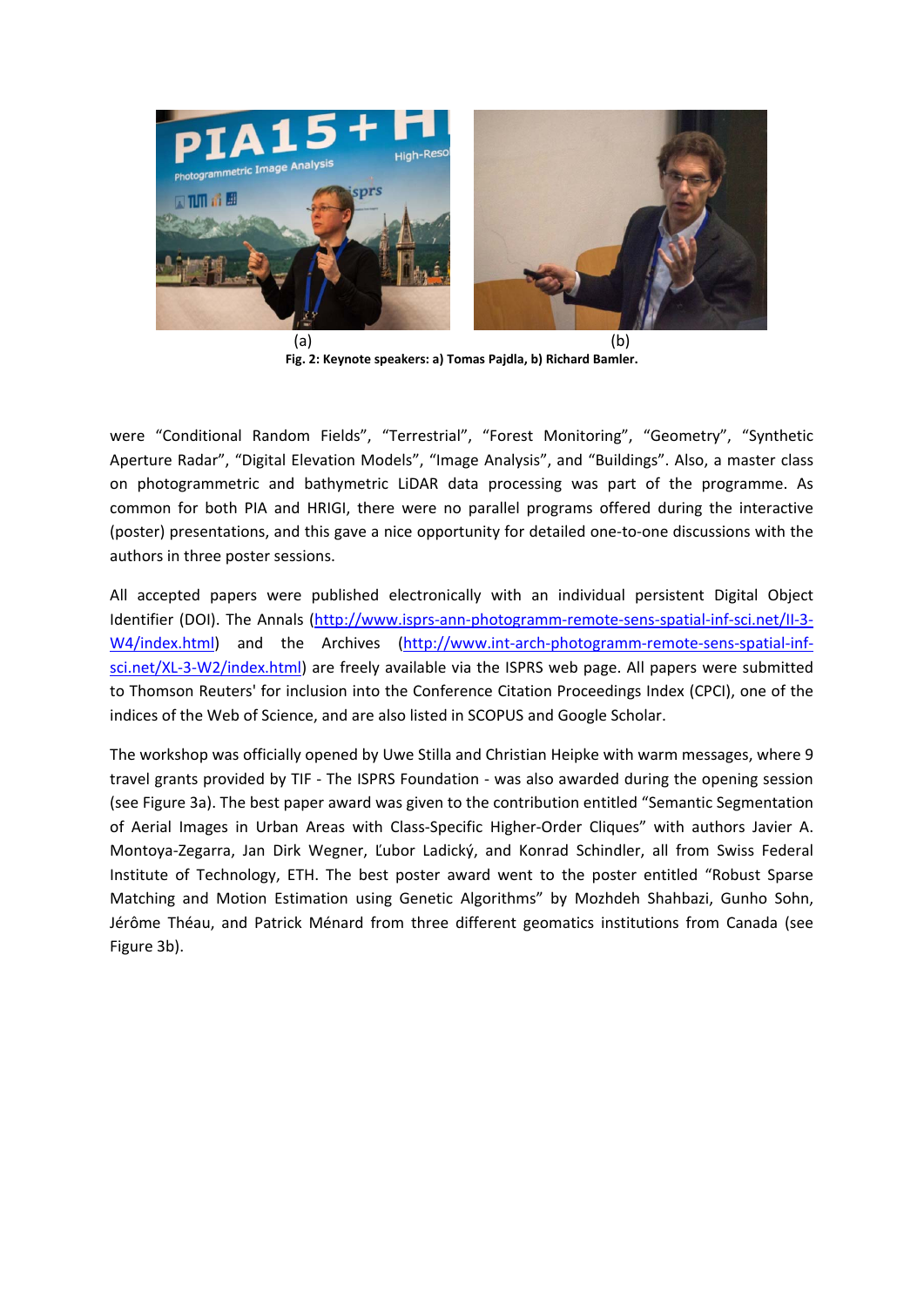

**Fig. 2: Keynote speakers: a) Tomas Pajdla, b) Richard Bamler.**

were "Conditional Random Fields", "Terrestrial", "Forest Monitoring", "Geometry", "Synthetic Aperture Radar", "Digital Elevation Models", "Image Analysis", and "Buildings". Also, a master class on photogrammetric and bathymetric LiDAR data processing was part of the programme. As common for both PIA and HRIGI, there were no parallel programs offered during the interactive (poster) presentations, and this gave a nice opportunity for detailed one-to-one discussions with the authors in three poster sessions.

All accepted papers were published electronically with an individual persistent Digital Object Identifier (DOI). The Annals (http://www.isprs-ann-photogramm-remote-sens-spatial-inf-sci.net/II-3-W4/index.html) and the Archives (http://www.int-arch-photogramm-remote-sens-spatial-infsci.net/XL-3-W2/index.html) are freely available via the ISPRS web page. All papers were submitted to Thomson Reuters' for inclusion into the Conference Citation Proceedings Index (CPCI), one of the indices of the Web of Science, and are also listed in SCOPUS and Google Scholar.

The workshop was officially opened by Uwe Stilla and Christian Heipke with warm messages, where 9 travel grants provided by TIF - The ISPRS Foundation - was also awarded during the opening session (see Figure 3a). The best paper award was given to the contribution entitled "Semantic Segmentation of Aerial Images in Urban Areas with Class-Specific Higher-Order Cliques" with authors Javier A. Montoya-Zegarra, Jan Dirk Wegner, Ľubor Ladický, and Konrad Schindler, all from Swiss Federal Institute of Technology, ETH. The best poster award went to the poster entitled "Robust Sparse Matching and Motion Estimation using Genetic Algorithms" by Mozhdeh Shahbazi, Gunho Sohn, Jérôme Théau, and Patrick Ménard from three different geomatics institutions from Canada (see Figure 3b).